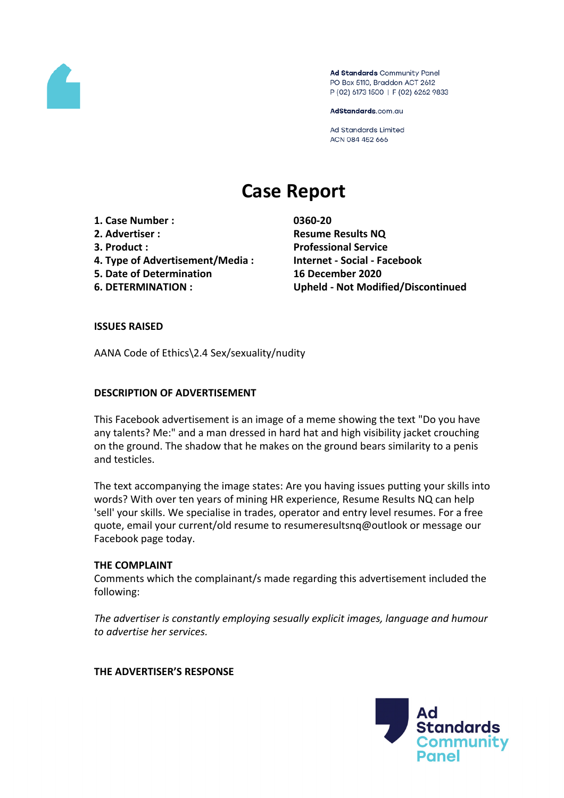

Ad Standards Community Panel PO Box 5110, Braddon ACT 2612 P (02) 6173 1500 | F (02) 6262 9833

AdStandards.com.au

**Ad Standards Limited** ACN 084 452 666

# **Case Report**

- **1. Case Number : 0360-20**
- 
- 
- **4. Type of Advertisement/Media : Internet - Social - Facebook**
- **5. Date of Determination 16 December 2020**
- 

**2. Advertiser : Resume Results NQ 3. Product : Professional Service 6. DETERMINATION : Upheld - Not Modified/Discontinued**

#### **ISSUES RAISED**

AANA Code of Ethics\2.4 Sex/sexuality/nudity

#### **DESCRIPTION OF ADVERTISEMENT**

This Facebook advertisement is an image of a meme showing the text "Do you have any talents? Me:" and a man dressed in hard hat and high visibility jacket crouching on the ground. The shadow that he makes on the ground bears similarity to a penis and testicles.

The text accompanying the image states: Are you having issues putting your skills into words? With over ten years of mining HR experience, Resume Results NQ can help 'sell' your skills. We specialise in trades, operator and entry level resumes. For a free quote, email your current/old resume to resumeresultsnq@outlook or message our Facebook page today.

#### **THE COMPLAINT**

Comments which the complainant/s made regarding this advertisement included the following:

*The advertiser is constantly employing sesually explicit images, language and humour to advertise her services.*

#### **THE ADVERTISER'S RESPONSE**

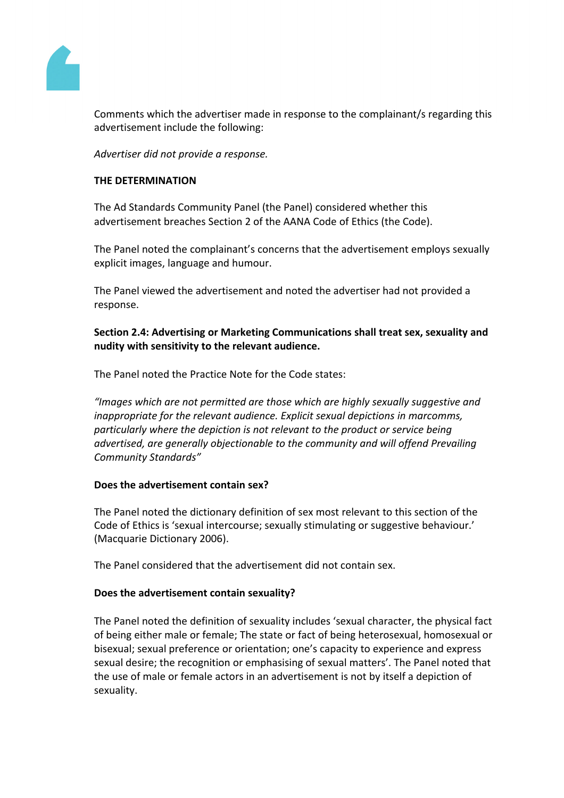

Comments which the advertiser made in response to the complainant/s regarding this advertisement include the following:

*Advertiser did not provide a response.*

## **THE DETERMINATION**

The Ad Standards Community Panel (the Panel) considered whether this advertisement breaches Section 2 of the AANA Code of Ethics (the Code).

The Panel noted the complainant's concerns that the advertisement employs sexually explicit images, language and humour.

The Panel viewed the advertisement and noted the advertiser had not provided a response.

**Section 2.4: Advertising or Marketing Communications shall treat sex, sexuality and nudity with sensitivity to the relevant audience.**

The Panel noted the Practice Note for the Code states:

*"Images which are not permitted are those which are highly sexually suggestive and inappropriate for the relevant audience. Explicit sexual depictions in marcomms, particularly where the depiction is not relevant to the product or service being advertised, are generally objectionable to the community and will offend Prevailing Community Standards"*

#### **Does the advertisement contain sex?**

The Panel noted the dictionary definition of sex most relevant to this section of the Code of Ethics is 'sexual intercourse; sexually stimulating or suggestive behaviour.' (Macquarie Dictionary 2006).

The Panel considered that the advertisement did not contain sex.

#### **Does the advertisement contain sexuality?**

The Panel noted the definition of sexuality includes 'sexual character, the physical fact of being either male or female; The state or fact of being heterosexual, homosexual or bisexual; sexual preference or orientation; one's capacity to experience and express sexual desire; the recognition or emphasising of sexual matters'. The Panel noted that the use of male or female actors in an advertisement is not by itself a depiction of sexuality.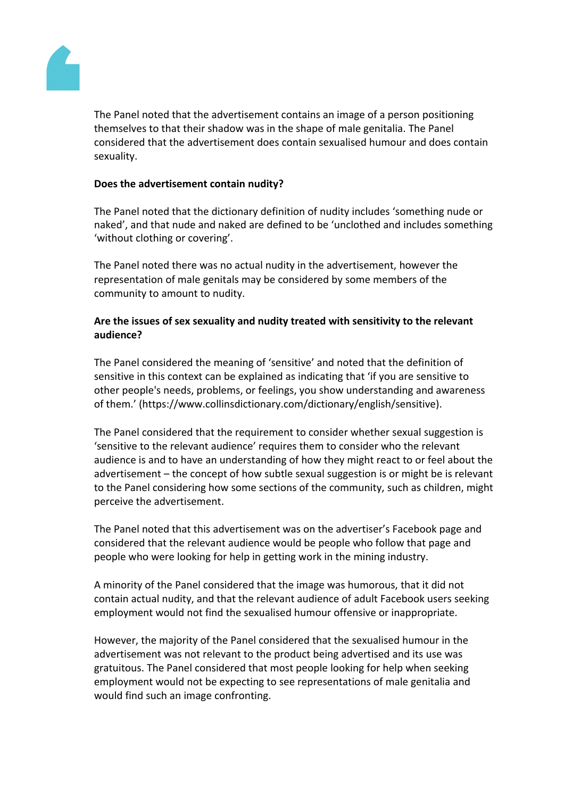

The Panel noted that the advertisement contains an image of a person positioning themselves to that their shadow was in the shape of male genitalia. The Panel considered that the advertisement does contain sexualised humour and does contain sexuality.

## **Does the advertisement contain nudity?**

The Panel noted that the dictionary definition of nudity includes 'something nude or naked', and that nude and naked are defined to be 'unclothed and includes something 'without clothing or covering'.

The Panel noted there was no actual nudity in the advertisement, however the representation of male genitals may be considered by some members of the community to amount to nudity.

# **Are the issues of sex sexuality and nudity treated with sensitivity to the relevant audience?**

The Panel considered the meaning of 'sensitive' and noted that the definition of sensitive in this context can be explained as indicating that 'if you are sensitive to other people's needs, problems, or feelings, you show understanding and awareness of them.' (https://www.collinsdictionary.com/dictionary/english/sensitive).

The Panel considered that the requirement to consider whether sexual suggestion is 'sensitive to the relevant audience' requires them to consider who the relevant audience is and to have an understanding of how they might react to or feel about the advertisement – the concept of how subtle sexual suggestion is or might be is relevant to the Panel considering how some sections of the community, such as children, might perceive the advertisement.

The Panel noted that this advertisement was on the advertiser's Facebook page and considered that the relevant audience would be people who follow that page and people who were looking for help in getting work in the mining industry.

A minority of the Panel considered that the image was humorous, that it did not contain actual nudity, and that the relevant audience of adult Facebook users seeking employment would not find the sexualised humour offensive or inappropriate.

However, the majority of the Panel considered that the sexualised humour in the advertisement was not relevant to the product being advertised and its use was gratuitous. The Panel considered that most people looking for help when seeking employment would not be expecting to see representations of male genitalia and would find such an image confronting.